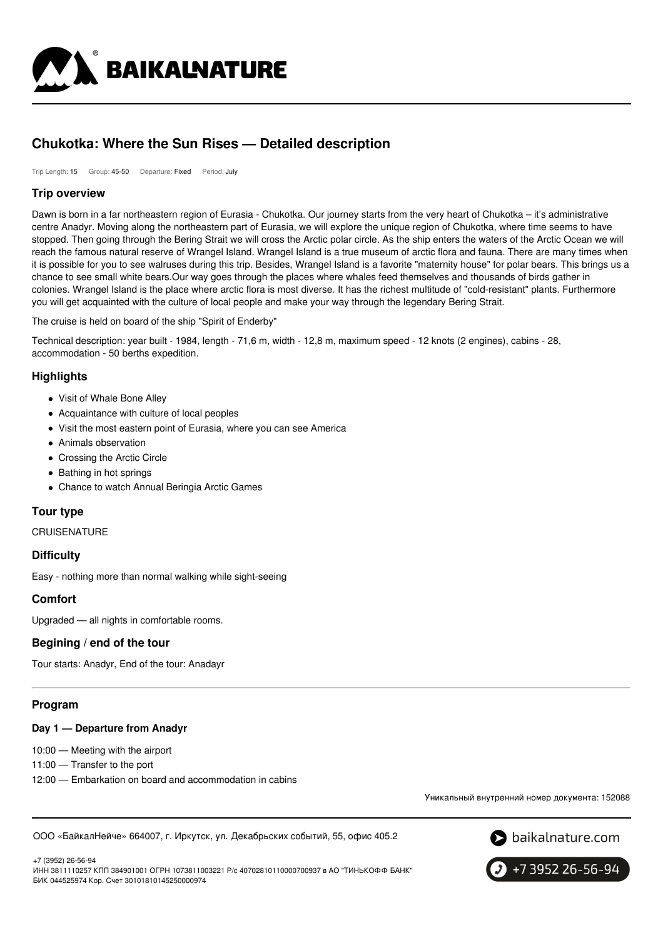

# **Chukotka: Where the Sun Rises — Detailed description**

Trip Length: 15 Group: 45-50 Departure: Fixed Period: July

### **Trip overview**

Dawn is born in a far northeastern region of Eurasia - Chukotka. Our journey starts from the very heart of Chukotka – it's administrative centre Anadyr. Moving along the northeastern part of Eurasia, we will explore the unique region of Chukotka, where time seems to have stopped. Then going through the Bering Strait we will cross the Arctic polar circle. As the ship enters the waters of the Arctic Ocean we will reach the famous natural reserve of Wrangel Island. Wrangel Island is a true museum of arctic flora and fauna. There are many times when it is possible for you to see walruses during this trip. Besides, Wrangel Island is a favorite "maternity house" for polar bears. This brings us a chance to see small white bears.Our way goes through the places where whales feed themselves and thousands of birds gather in colonies. Wrangel Island is the place where arctic flora is most diverse. It has the richest multitude of "cold-resistant" plants. Furthermore you will get acquainted with the culture of local people and make your way through the legendary Bering Strait.

The cruise is held on board of the ship "Spirit of Enderby"

Technical description: year built - 1984, length - 71,6 m, width - 12,8 m, maximum speed - 12 knots (2 engines), cabins - 28, accommodation - 50 berths expedition.

# **Highlights**

- Visit of Whale Bone Alley
- Acquaintance with culture of local peoples
- Visit the most eastern point of Eurasia, where you can see America
- Animals observation
- Crossing the Arctic Circle
- Bathing in hot springs
- Chance to watch Annual Beringia Arctic Games

### **Tour type**

### **CRUISENATURE**

### **Difficulty**

Easy - nothing more than normal walking while sight-seeing

### **Comfort**

Upgraded — all nights in comfortable rooms.

# **Begining / end of the tour**

Tour starts: Anadyr, End of the tour: Anadayr

### **Program**

### **Day 1 — Departure from Anadyr**

10:00 — Meeting with the airport

11:00 — Transfer to the port

12:00 — Embarkation on board and accommodation in cabins

Уникальный внутренний номер документа: 152088

ООО «БайкалНейче» 664007, г. Иркутск, ул. Декабрьских событий, 55, офис 405.2



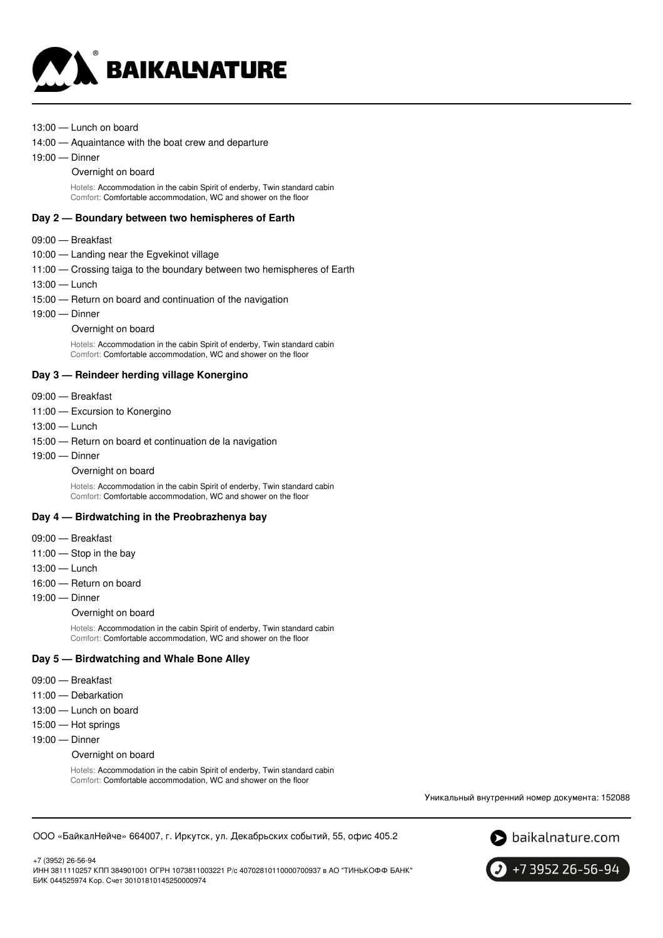

- 13:00 Lunch on board
- 14:00 Aquaintance with the boat crew and departure
- 19:00 Dinner
	- Overnight on board

Hotels: Accommodation in the cabin Spirit of enderby, Twin standard cabin Comfort: Comfortable accommodation, WC and shower on the floor

#### **Day 2 — Boundary between two hemispheres of Earth**

#### 09:00 — Breakfast

- 10:00 Landing near the Egvekinot village
- 11:00 Crossing taiga to the boundary between two hemispheres of Earth
- 13:00 Lunch
- 15:00 Return on board and continuation of the navigation
- 19:00 Dinner
	- Overnight on board

Hotels: Accommodation in the cabin Spirit of enderby, Twin standard cabin Comfort: Comfortable accommodation, WC and shower on the floor

### **Day 3 — Reindeer herding village Konergino**

- 09:00 Breakfast
- 11:00 Excursion to Konergino
- 13:00 Lunch
- 15:00 Return on board et continuation de la navigation
- 19:00 Dinner
	- Overnight on board

Hotels: Accommodation in the cabin Spirit of enderby, Twin standard cabin Comfort: Comfortable accommodation, WC and shower on the floor

### **Day 4 — Birdwatching in the Preobrazhenya bay**

- 09:00 Breakfast
- 11:00 Stop in the bay
- 13:00 Lunch
- 16:00 Return on board
- 19:00 Dinner

#### Overnight on board

Hotels: Accommodation in the cabin Spirit of enderby, Twin standard cabin Comfort: Comfortable accommodation, WC and shower on the floor

### **Day 5 — Birdwatching and Whale Bone Alley**

- 09:00 Breakfast
- 11:00 Debarkation
- 13:00 Lunch on board
- 15:00 Hot springs
- 19:00 Dinner

### Overnight on board

Hotels: Accommodation in the cabin Spirit of enderby, Twin standard cabin Comfort: Comfortable accommodation, WC and shower on the floor

Уникальный внутренний номер документа: 152088

```
ООО «БайкалНейче» 664007, г. Иркутск, ул. Декабрьских событий, 55, офис 405.2
```


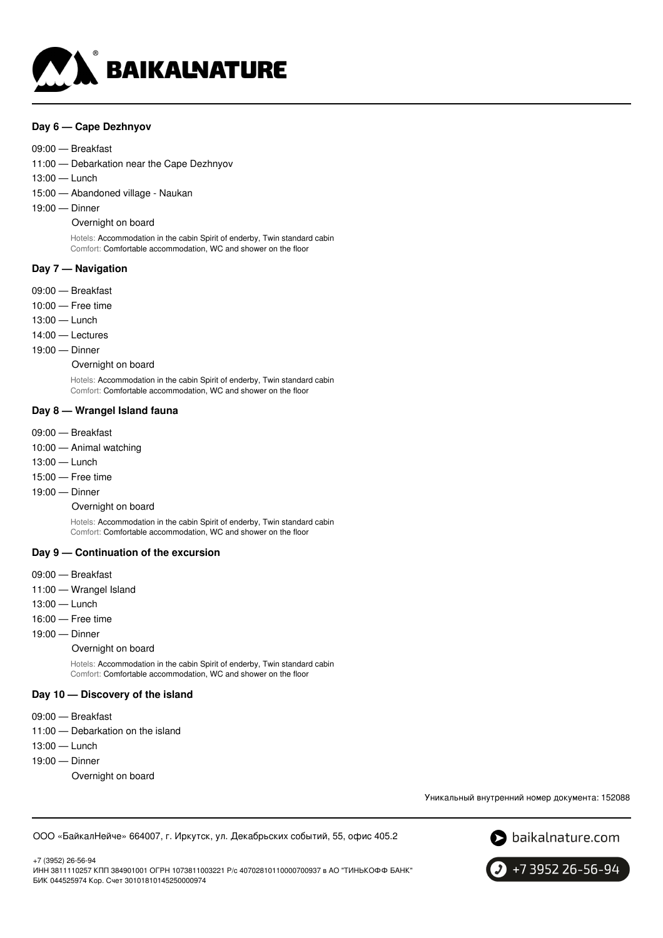

### **Day 6 — Cape Dezhnyov**

#### 09:00 — Breakfast

11:00 — Debarkation near the Cape Dezhnyov

- 13:00 Lunch
- 15:00 Abandoned village Naukan
- 19:00 Dinner

#### Overnight on board

Hotels: Accommodation in the cabin Spirit of enderby, Twin standard cabin Comfort: Comfortable accommodation, WC and shower on the floor

#### **Day 7 — Navigation**

- 09:00 Breakfast
- 10:00 Free time
- 13:00 Lunch
- 14:00 Lectures
- 19:00 Dinner

Overnight on board

Hotels: Accommodation in the cabin Spirit of enderby, Twin standard cabin Comfort: Comfortable accommodation, WC and shower on the floor

### **Day 8 — Wrangel Island fauna**

- 09:00 Breakfast
- 10:00 Animal watching
- 13:00 Lunch
- 15:00 Free time
- 19:00 Dinner

#### Overnight on board

Hotels: Accommodation in the cabin Spirit of enderby, Twin standard cabin Comfort: Comfortable accommodation, WC and shower on the floor

#### **Day 9 — Continuation of the excursion**

- 09:00 Breakfast
- 11:00 Wrangel Island
- 13:00 Lunch
- 16:00 Free time
- 19:00 Dinner

#### Overnight on board

Hotels: Accommodation in the cabin Spirit of enderby, Twin standard cabin Comfort: Comfortable accommodation, WC and shower on the floor

### **Day 10 — Discovery of the island**

- 09:00 Breakfast
- 11:00 Debarkation on the island
- 13:00 Lunch
- 19:00 Dinner
	- Overnight on board

Уникальный внутренний номер документа: 152088

ООО «БайкалНейче» 664007, г. Иркутск, ул. Декабрьских событий, 55, офис 405.2



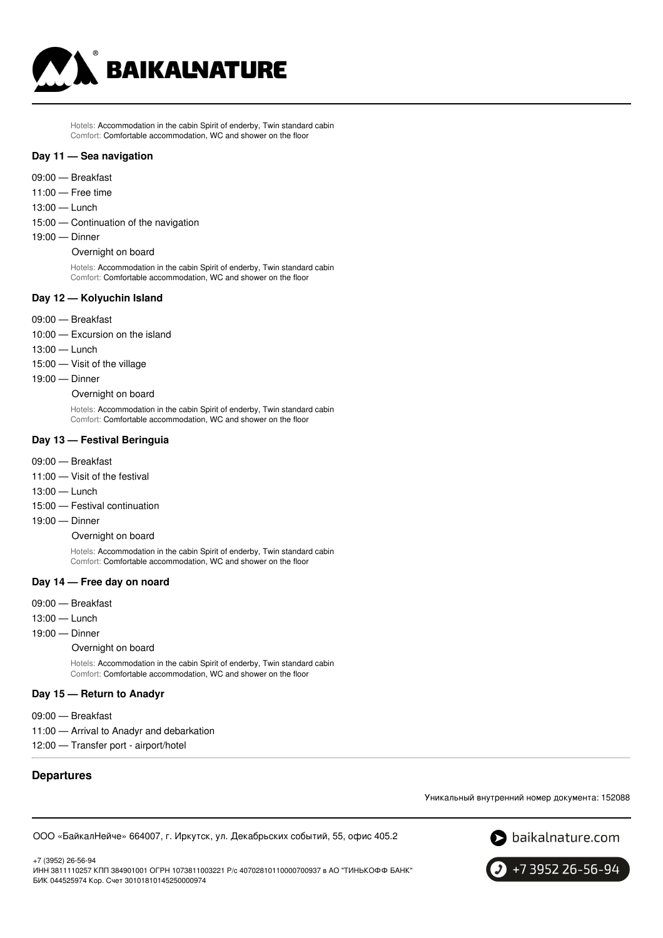

Hotels: Accommodation in the cabin Spirit of enderby, Twin standard cabin Comfort: Comfortable accommodation, WC and shower on the floor

#### **Day 11 — Sea navigation**

- 09:00 Breakfast
- 11:00 Free time
- 13:00 Lunch
- 15:00 Continuation of the navigation
- 19:00 Dinner

Overnight on board

Hotels: Accommodation in the cabin Spirit of enderby, Twin standard cabin Comfort: Comfortable accommodation, WC and shower on the floor

### **Day 12 — Kolyuchin Island**

- 09:00 Breakfast
- 10:00 Excursion on the island
- 13:00 Lunch
- 15:00 Visit of the village
- 19:00 Dinner

Overnight on board

Hotels: Accommodation in the cabin Spirit of enderby, Twin standard cabin Comfort: Comfortable accommodation, WC and shower on the floor

#### **Day 13 — Festival Beringuia**

- 09:00 Breakfast
- 11:00 Visit of the festival
- 13:00 Lunch
- 15:00 Festival continuation
- 19:00 Dinner
	- Overnight on board

Hotels: Accommodation in the cabin Spirit of enderby, Twin standard cabin Comfort: Comfortable accommodation, WC and shower on the floor

### **Day 14 — Free day on noard**

- 09:00 Breakfast
- 13:00 Lunch
- 19:00 Dinner

Overnight on board

Hotels: Accommodation in the cabin Spirit of enderby, Twin standard cabin Comfort: Comfortable accommodation, WC and shower on the floor

### **Day 15 — Return to Anadyr**

09:00 — Breakfast 11:00 — Arrival to Anadyr and debarkation 12:00 — Transfer port - airport/hotel

# **Departures**

+7 (3952) 26-56-94

Уникальный внутренний номер документа: 152088

ООО «БайкалНейче» 664007, г. Иркутск, ул. Декабрьских событий, 55, офис 405.2

S baikalnature.com

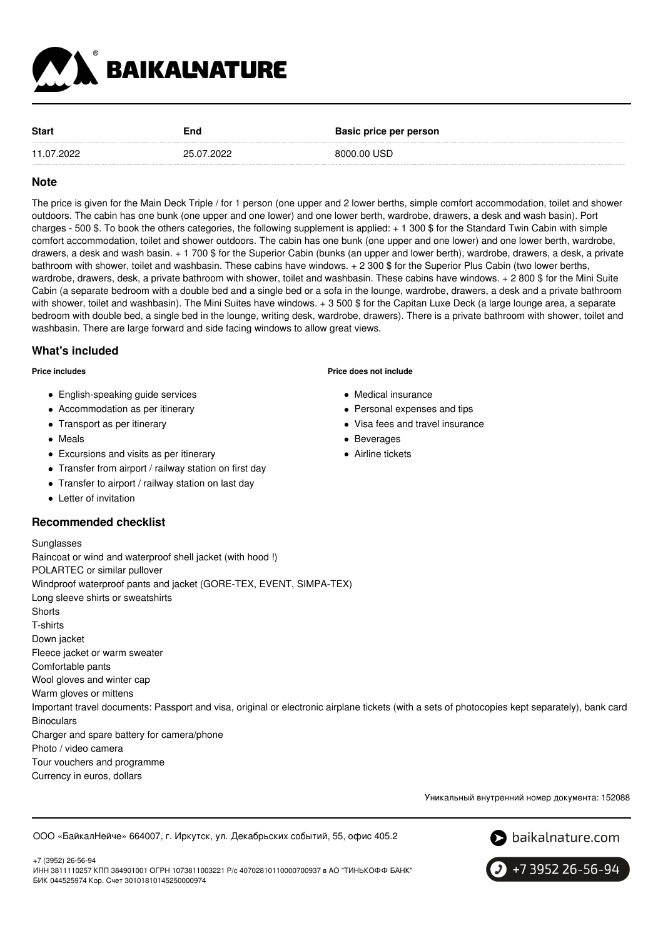

| <b>Start</b> | End        | Basic price per person |
|--------------|------------|------------------------|
| 11.07.2022   | 25.07.2022 | 8000.00 USD            |

## **Note**

The price is given for the Main Deck Triple / for 1 person (one upper and 2 lower berths, simple comfort accommodation, toilet and shower outdoors. The cabin has one bunk (one upper and one lower) and one lower berth, wardrobe, drawers, a desk and wash basin). Port charges - 500 \$. To book the others categories, the following supplement is applied: + 1 300 \$ for the Standard Twin Cabin with simple comfort accommodation, toilet and shower outdoors. The cabin has one bunk (one upper and one lower) and one lower berth, wardrobe, drawers, a desk and wash basin. + 1 700 \$ for the Superior Cabin (bunks (an upper and lower berth), wardrobe, drawers, a desk, a private bathroom with shower, toilet and washbasin. These cabins have windows. + 2 300 \$ for the Superior Plus Cabin (two lower berths, wardrobe, drawers, desk, a private bathroom with shower, toilet and washbasin. These cabins have windows. + 2 800 \$ for the Mini Suite Cabin (a separate bedroom with a double bed and a single bed or a sofa in the lounge, wardrobe, drawers, a desk and a private bathroom with shower, toilet and washbasin). The Mini Suites have windows. + 3 500 \$ for the Capitan Luxe Deck (a large lounge area, a separate bedroom with double bed, a single bed in the lounge, writing desk, wardrobe, drawers). There is a private bathroom with shower, toilet and washbasin. There are large forward and side facing windows to allow great views.

### **What's included**

**Price includes**

- English-speaking guide services
- Accommodation as per itinerary
- Transport as per itinerary
- Meals
- Excursions and visits as per itinerary
- Transfer from airport / railway station on first day
- Transfer to airport / railway station on last day
- **•** Letter of invitation

### **Recommended checklist**

#### **Price does not include**

- Medical insurance
- Personal expenses and tips
- Visa fees and travel insurance
- Beverages
- Airline tickets

Sunglasses Raincoat or wind and waterproof shell jacket (with hood !) POLARTEC or similar pullover Windproof waterproof pants and jacket (GORE-TEX, EVENT, SIMPA-TEX) Long sleeve shirts or sweatshirts **Shorts** T-shirts Down jacket Fleece jacket or warm sweater Comfortable pants Wool gloves and winter cap Warm gloves or mittens Important travel documents: Passport and visa, original or electronic airplane tickets (with a sets of photocopies kept separately), bank card **Binoculars** Charger and spare battery for camera/phone Photo / video camera Tour vouchers and programme Currency in euros, dollars

Уникальный внутренний номер документа: 152088

ООО «БайкалНейче» 664007, г. Иркутск, ул. Декабрьских событий, 55, офис 405.2



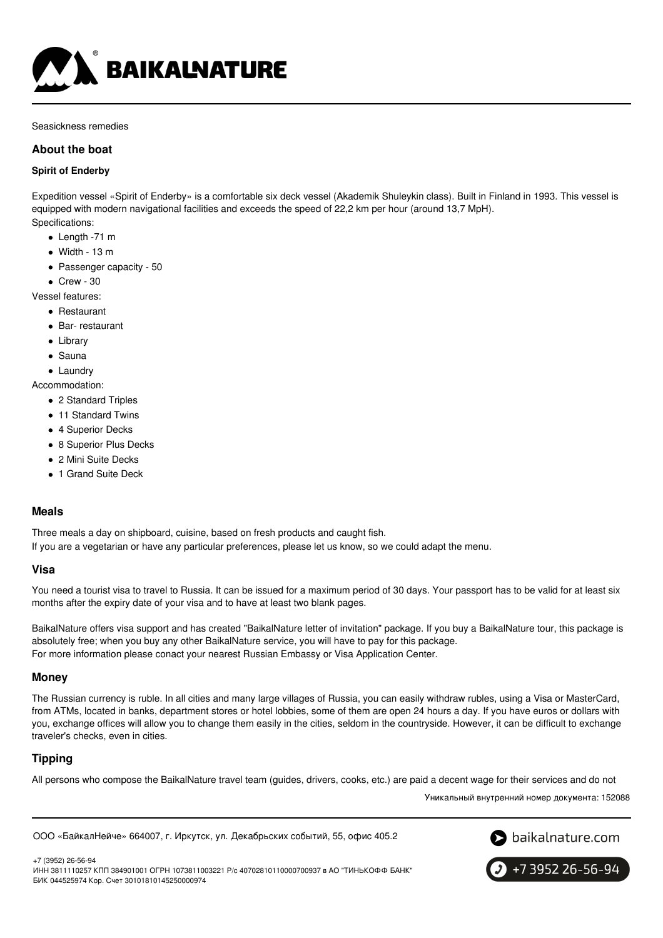

Seasickness remedies

# **About the boat**

### **Spirit of Enderby**

Expedition vessel «Spirit of Enderby» is a comfortable six deck vessel (Akademik Shuleykin class). Built in Finland in 1993. This vessel is equipped with modern navigational facilities and exceeds the speed of 22,2 km per hour (around 13,7 MpH). Specifications:

- Length -71 m
- $\bullet$  Width 13 m
- Passenger capacity 50
- $\bullet$  Crew 30

Vessel features:

- Restaurant
- Bar- restaurant
- Library
- Sauna
- Laundry

Accommodation:

- 2 Standard Triples
- 11 Standard Twins
- 4 Superior Decks
- 8 Superior Plus Decks
- 2 Mini Suite Decks
- 1 Grand Suite Deck

### **Meals**

Three meals a day on shipboard, cuisine, based on fresh products and caught fish.

If you are a vegetarian or have any particular preferences, please let us know, so we could adapt the menu.

### **Visa**

You need a tourist visa to travel to Russia. It can be issued for a maximum period of 30 days. Your passport has to be valid for at least six months after the expiry date of your visa and to have at least two blank pages.

BaikalNature offers visa support and has created "BaikalNature letter of invitation" package. If you buy a BaikalNature tour, this package is absolutely free; when you buy any other BaikalNature service, you will have to pay for this package. For more information please conact your nearest Russian Embassy or Visa Application Center.

### **Money**

The Russian currency is ruble. In all cities and many large villages of Russia, you can easily withdraw rubles, using a Visa or MasterCard, from ATMs, located in banks, department stores or hotel lobbies, some of them are open 24 hours a day. If you have euros or dollars with you, exchange offices will allow you to change them easily in the cities, seldom in the countryside. However, it can be difficult to exchange traveler's checks, even in cities.

# **Tipping**

All persons who compose the BaikalNature travel team (guides, drivers, cooks, etc.) are paid a decent wage for their services and do not

Уникальный внутренний номер документа: 152088

ООО «БайкалНейче» 664007, г. Иркутск, ул. Декабрьских событий, 55, офис 405.2